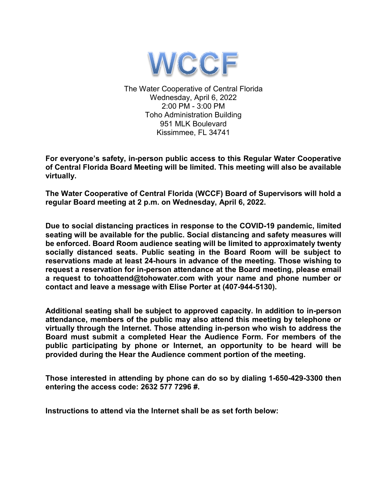

The Water Cooperative of Central Florida Wednesday, April 6, 2022 2:00 PM - 3:00 PM Toho Administration Building 951 MLK Boulevard Kissimmee, FL 34741

**For everyone's safety, in-person public access to this Regular Water Cooperative of Central Florida Board Meeting will be limited. This meeting will also be available virtually.**

**The Water Cooperative of Central Florida (WCCF) Board of Supervisors will hold a regular Board meeting at 2 p.m. on Wednesday, April 6, 2022.**

**Due to social distancing practices in response to the COVID-19 pandemic, limited seating will be available for the public. Social distancing and safety measures will be enforced. Board Room audience seating will be limited to approximately twenty socially distanced seats. Public seating in the Board Room will be subject to reservations made at least 24-hours in advance of the meeting. Those wishing to request a reservation for in-person attendance at the Board meeting, please email a request to tohoattend@tohowater.com with your name and phone number or contact and leave a message with Elise Porter at (407-944-5130).**

**Additional seating shall be subject to approved capacity. In addition to in-person attendance, members of the public may also attend this meeting by telephone or virtually through the Internet. Those attending in-person who wish to address the Board must submit a completed Hear the Audience Form. For members of the public participating by phone or Internet, an opportunity to be heard will be provided during the Hear the Audience comment portion of the meeting.**

**Those interested in attending by phone can do so by dialing 1-650-429-3300 then entering the access code: 2632 577 7296 #.**

**Instructions to attend via the Internet shall be as set forth below:**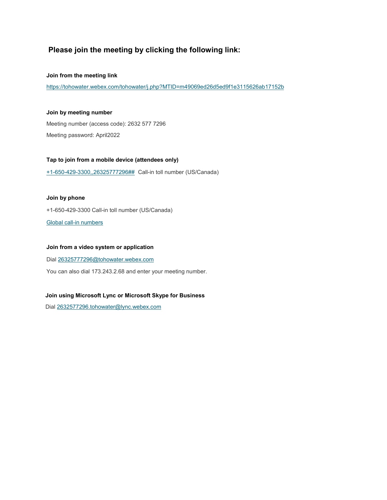### **Please join the meeting by clicking the following link:**

#### **Join from the meeting link**

<https://tohowater.webex.com/tohowater/j.php?MTID=m49069ed26d5ed9f1e3115626ab17152b>

### **Join by meeting number**

Meeting number (access code): 2632 577 7296 Meeting password: April2022

### **Tap to join from a mobile device (attendees only)**

[+1-650-429-3300,,26325777296##](tel:%2B1-650-429-3300,,*01*26325777296%23%23*01*) Call-in toll number (US/Canada)

### **Join by phone**

+1-650-429-3300 Call-in toll number (US/Canada)

[Global call-in numbers](https://tohowater.webex.com/tohowater/globalcallin.php?MTID=mdf915b485ff3785a4438260c6fee18c5)

### **Join from a video system or application**

Dia[l 26325777296@tohowater.webex.com](mailto:26325777296@tohowater.webex.com)

You can also dial 173.243.2.68 and enter your meeting number.

### **Join using Microsoft Lync or Microsoft Skype for Business**

Dial [2632577296.tohowater@lync.webex.com](mailto:2632577296.tohowater@lync.webex.com)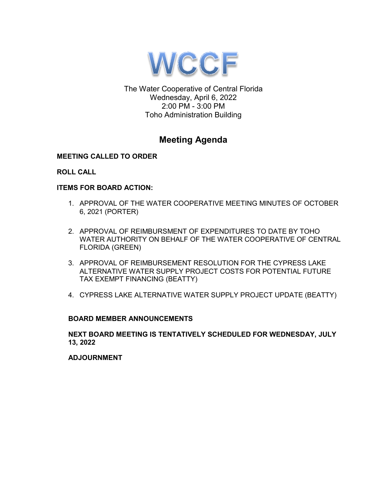

The Water Cooperative of Central Florida Wednesday, April 6, 2022 2:00 PM - 3:00 PM Toho Administration Building

### **Meeting Agenda**

### **MEETING CALLED TO ORDER**

### **ROLL CALL**

### **ITEMS FOR BOARD ACTION:**

- 1. APPROVAL OF THE WATER COOPERATIVE MEETING MINUTES OF OCTOBER 6, 2021 (PORTER)
- 2. APPROVAL OF REIMBURSMENT OF EXPENDITURES TO DATE BY TOHO WATER AUTHORITY ON BEHALF OF THE WATER COOPERATIVE OF CENTRAL FLORIDA (GREEN)
- 3. APPROVAL OF REIMBURSEMENT RESOLUTION FOR THE CYPRESS LAKE ALTERNATIVE WATER SUPPLY PROJECT COSTS FOR POTENTIAL FUTURE TAX EXEMPT FINANCING (BEATTY)
- 4. CYPRESS LAKE ALTERNATIVE WATER SUPPLY PROJECT UPDATE (BEATTY)

### **BOARD MEMBER ANNOUNCEMENTS**

**NEXT BOARD MEETING IS TENTATIVELY SCHEDULED FOR WEDNESDAY, JULY 13, 2022**

**ADJOURNMENT**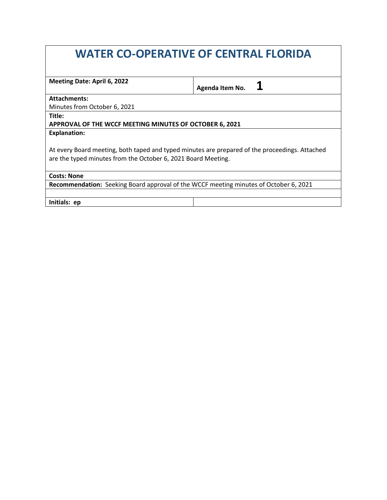# **WATER CO-OPERATIVE OF CENTRAL FLORIDA**

| Meeting Date: April 6, 2022                                                                    | Agenda Item No. |  |
|------------------------------------------------------------------------------------------------|-----------------|--|
|                                                                                                |                 |  |
| <b>Attachments:</b>                                                                            |                 |  |
| Minutes from October 6, 2021                                                                   |                 |  |
| Title:                                                                                         |                 |  |
| APPROVAL OF THE WCCF MEETING MINUTES OF OCTOBER 6, 2021                                        |                 |  |
| <b>Explanation:</b>                                                                            |                 |  |
|                                                                                                |                 |  |
| At every Board meeting, both taped and typed minutes are prepared of the proceedings. Attached |                 |  |
| are the typed minutes from the October 6, 2021 Board Meeting.                                  |                 |  |
|                                                                                                |                 |  |
| <b>Costs: None</b>                                                                             |                 |  |
| <b>Recommendation:</b> Seeking Board approval of the WCCF meeting minutes of October 6, 2021   |                 |  |
|                                                                                                |                 |  |
| Initials: ep                                                                                   |                 |  |
|                                                                                                |                 |  |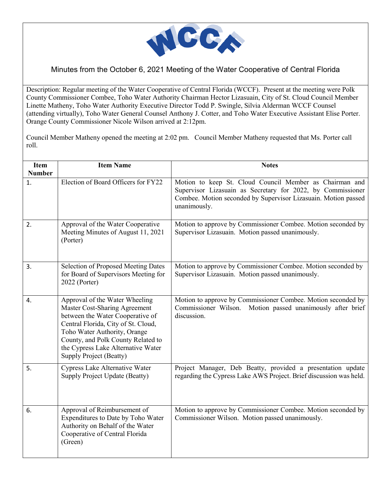

Minutes from the October 6, 2021 Meeting of the Water Cooperative of Central Florida

Description: Regular meeting of the Water Cooperative of Central Florida (WCCF). Present at the meeting were Polk County Commissioner Combee, Toho Water Authority Chairman Hector Lizasuain, City of St. Cloud Council Member Linette Matheny, Toho Water Authority Executive Director Todd P. Swingle, Silvia Alderman WCCF Counsel (attending virtually), Toho Water General Counsel Anthony J. Cotter, and Toho Water Executive Assistant Elise Porter. Orange County Commissioner Nicole Wilson arrived at 2:12pm.

Council Member Matheny opened the meeting at 2:02 pm. Council Member Matheny requested that Ms. Porter call roll.

| <b>Item</b><br><b>Number</b> | <b>Item Name</b>                                                                                                                                                                                                                                                                         | <b>Notes</b>                                                                                                                                                                                             |
|------------------------------|------------------------------------------------------------------------------------------------------------------------------------------------------------------------------------------------------------------------------------------------------------------------------------------|----------------------------------------------------------------------------------------------------------------------------------------------------------------------------------------------------------|
| 1.                           | Election of Board Officers for FY22                                                                                                                                                                                                                                                      | Motion to keep St. Cloud Council Member as Chairman and<br>Supervisor Lizasuain as Secretary for 2022, by Commissioner<br>Combee. Motion seconded by Supervisor Lizasuain. Motion passed<br>unanimously. |
| 2.                           | Approval of the Water Cooperative<br>Meeting Minutes of August 11, 2021<br>(Porter)                                                                                                                                                                                                      | Motion to approve by Commissioner Combee. Motion seconded by<br>Supervisor Lizasuain. Motion passed unanimously.                                                                                         |
| 3.                           | Selection of Proposed Meeting Dates<br>for Board of Supervisors Meeting for<br>2022 (Porter)                                                                                                                                                                                             | Motion to approve by Commissioner Combee. Motion seconded by<br>Supervisor Lizasuain. Motion passed unanimously.                                                                                         |
| 4.                           | Approval of the Water Wheeling<br>Master Cost-Sharing Agreement<br>between the Water Cooperative of<br>Central Florida, City of St. Cloud,<br>Toho Water Authority, Orange<br>County, and Polk County Related to<br>the Cypress Lake Alternative Water<br><b>Supply Project (Beatty)</b> | Motion to approve by Commissioner Combee. Motion seconded by<br>Commissioner Wilson.<br>Motion passed unanimously after brief<br>discussion.                                                             |
| 5.                           | Cypress Lake Alternative Water<br>Supply Project Update (Beatty)                                                                                                                                                                                                                         | Project Manager, Deb Beatty, provided a presentation update<br>regarding the Cypress Lake AWS Project. Brief discussion was held.                                                                        |
| 6.                           | Approval of Reimbursement of<br>Expenditures to Date by Toho Water<br>Authority on Behalf of the Water<br>Cooperative of Central Florida<br>(Green)                                                                                                                                      | Motion to approve by Commissioner Combee. Motion seconded by<br>Commissioner Wilson. Motion passed unanimously.                                                                                          |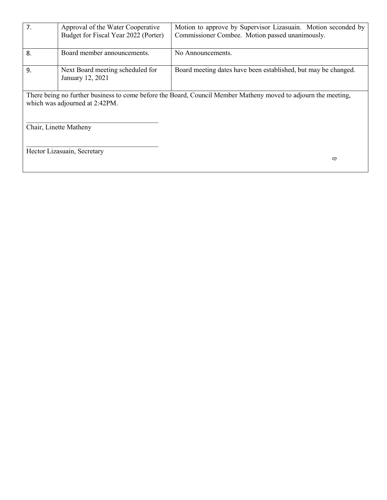| 7.                                                                                                                                               | Approval of the Water Cooperative<br>Budget for Fiscal Year 2022 (Porter) | Motion to approve by Supervisor Lizasuain. Motion seconded by<br>Commissioner Combee. Motion passed unanimously. |
|--------------------------------------------------------------------------------------------------------------------------------------------------|---------------------------------------------------------------------------|------------------------------------------------------------------------------------------------------------------|
| 8.                                                                                                                                               | Board member announcements.                                               | No Announcements.                                                                                                |
| 9.                                                                                                                                               | Next Board meeting scheduled for<br>January 12, 2021                      | Board meeting dates have been established, but may be changed.                                                   |
| There being no further business to come before the Board, Council Member Matheny moved to adjourn the meeting,<br>which was adjourned at 2:42PM. |                                                                           |                                                                                                                  |
|                                                                                                                                                  | Chair, Linette Matheny                                                    |                                                                                                                  |
|                                                                                                                                                  | Hector Lizasuain, Secretary                                               | ep                                                                                                               |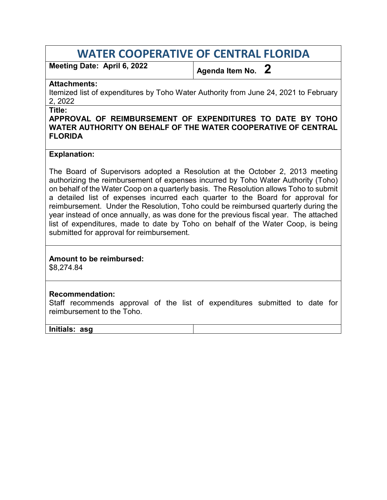# **WATER COOPERATIVE OF CENTRAL FLORIDA**

**Meeting Date: April 6, 2022 Agenda Item No. 2**

### **Attachments:**

Itemized list of expenditures by Toho Water Authority from June 24, 2021 to February 2, 2022

**Title:** 

### **APPROVAL OF REIMBURSEMENT OF EXPENDITURES TO DATE BY TOHO WATER AUTHORITY ON BEHALF OF THE WATER COOPERATIVE OF CENTRAL FLORIDA**

### **Explanation:**

The Board of Supervisors adopted a Resolution at the October 2, 2013 meeting authorizing the reimbursement of expenses incurred by Toho Water Authority (Toho) on behalf of the Water Coop on a quarterly basis. The Resolution allows Toho to submit a detailed list of expenses incurred each quarter to the Board for approval for reimbursement. Under the Resolution, Toho could be reimbursed quarterly during the year instead of once annually, as was done for the previous fiscal year. The attached list of expenditures, made to date by Toho on behalf of the Water Coop, is being submitted for approval for reimbursement.

### **Amount to be reimbursed:**

\$8,274.84

### **Recommendation:**

Staff recommends approval of the list of expenditures submitted to date for reimbursement to the Toho.

### **Initials: asg**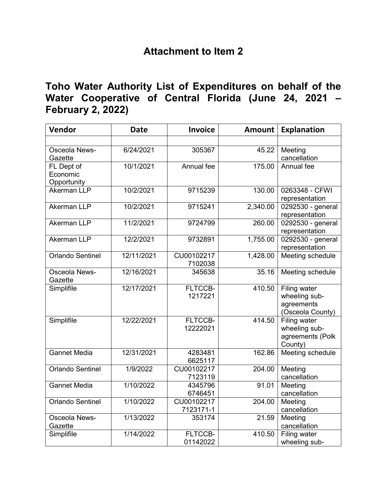## **Attachment to Item 2**

## **Toho Water Authority List of Expenditures on behalf of the Water Cooperative of Central Florida (June 24, 2021 – February 2, 2022)**

| Vendor                                | <b>Date</b> | <b>Invoice</b>          | <b>Amount</b> | <b>Explanation</b>                                              |
|---------------------------------------|-------------|-------------------------|---------------|-----------------------------------------------------------------|
|                                       |             |                         |               |                                                                 |
| <b>Osceola News-</b><br>Gazette       | 6/24/2021   | 305367                  | 45.22         | Meeting<br>cancellation                                         |
| FL Dept of<br>Economic<br>Opportunity | 10/1/2021   | Annual fee              | 175.00        | Annual fee                                                      |
| <b>Akerman LLP</b>                    | 10/2/2021   | 9715239                 | 130.00        | 0263348 - CFWI<br>representation                                |
| <b>Akerman LLP</b>                    | 10/2/2021   | 9715241                 | 2,340.00      | 0292530 - general<br>representation                             |
| <b>Akerman LLP</b>                    | 11/2/2021   | 9724799                 | 260.00        | 0292530 - general<br>representation                             |
| <b>Akerman LLP</b>                    | 12/2/2021   | 9732891                 | 1,755.00      | 0292530 - general<br>representation                             |
| <b>Orlando Sentinel</b>               | 12/11/2021  | CU00102217<br>7102038   | 1,428.00      | <b>Meeting schedule</b>                                         |
| <b>Osceola News-</b><br>Gazette       | 12/16/2021  | 345638                  | 35.16         | Meeting schedule                                                |
| Simplifile                            | 12/17/2021  | FLTCCB-<br>1217221      | 410.50        | Filing water<br>wheeling sub-<br>agreements<br>(Osceola County) |
| Simplifile                            | 12/22/2021  | FLTCCB-<br>12222021     | 414.50        | Filing water<br>wheeling sub-<br>agreements (Polk<br>County)    |
| <b>Gannet Media</b>                   | 12/31/2021  | 4283481<br>6625117      | 162.86        | Meeting schedule                                                |
| Orlando Sentinel                      | 1/9/2022    | CU00102217<br>7123119   | 204.00        | Meeting<br>cancellation                                         |
| <b>Gannet Media</b>                   | 1/10/2022   | 4345796<br>6746451      | 91.01         | Meeting<br>cancellation                                         |
| <b>Orlando Sentinel</b>               | 1/10/2022   | CU00102217<br>7123171-1 | 204.00        | Meeting<br>cancellation                                         |
| <b>Osceola News-</b><br>Gazette       | 1/13/2022   | 353174                  | 21.59         | Meeting<br>cancellation                                         |
| Simplifile                            | 1/14/2022   | FLTCCB-<br>01142022     | 410.50        | Filing water<br>wheeling sub-                                   |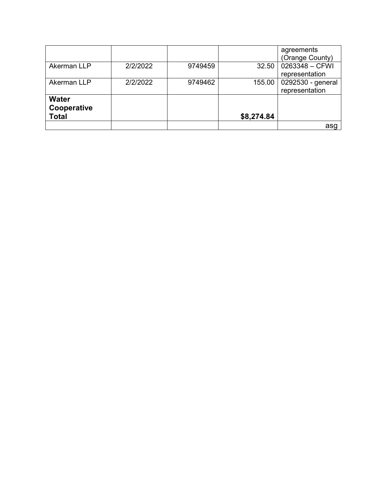|              |          |         |            | agreements        |
|--------------|----------|---------|------------|-------------------|
|              |          |         |            | (Orange County)   |
| Akerman LLP  | 2/2/2022 | 9749459 | 32.50      | 0263348 - CFWI    |
|              |          |         |            | representation    |
| Akerman LLP  | 2/2/2022 | 9749462 | 155.00     | 0292530 - general |
|              |          |         |            | representation    |
| <b>Water</b> |          |         |            |                   |
| Cooperative  |          |         |            |                   |
| <b>Total</b> |          |         | \$8,274.84 |                   |
|              |          |         |            |                   |
|              |          |         |            | asg               |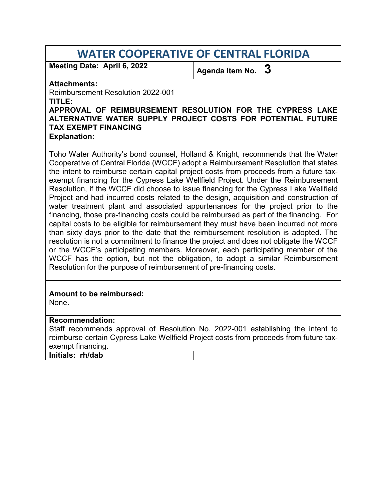# **WATER COOPERATIVE OF CENTRAL FLORIDA**

Meeting Date: April 6, 2022 **Agenda Item No.** 3

### **Attachments:**

Reimbursement Resolution 2022-001

**TITLE:** 

### **APPROVAL OF REIMBURSEMENT RESOLUTION FOR THE CYPRESS LAKE ALTERNATIVE WATER SUPPLY PROJECT COSTS FOR POTENTIAL FUTURE TAX EXEMPT FINANCING**

### **Explanation:**

Toho Water Authority's bond counsel, Holland & Knight, recommends that the Water Cooperative of Central Florida (WCCF) adopt a Reimbursement Resolution that states the intent to reimburse certain capital project costs from proceeds from a future taxexempt financing for the Cypress Lake Wellfield Project. Under the Reimbursement Resolution, if the WCCF did choose to issue financing for the Cypress Lake Wellfield Project and had incurred costs related to the design, acquisition and construction of water treatment plant and associated appurtenances for the project prior to the financing, those pre-financing costs could be reimbursed as part of the financing. For capital costs to be eligible for reimbursement they must have been incurred not more than sixty days prior to the date that the reimbursement resolution is adopted. The resolution is not a commitment to finance the project and does not obligate the WCCF or the WCCF's participating members. Moreover, each participating member of the WCCF has the option, but not the obligation, to adopt a similar Reimbursement Resolution for the purpose of reimbursement of pre-financing costs.

### **Amount to be reimbursed:**

None.

### **Recommendation:**

Staff recommends approval of Resolution No. 2022-001 establishing the intent to reimburse certain Cypress Lake Wellfield Project costs from proceeds from future taxexempt financing.

**Initials: rh/dab**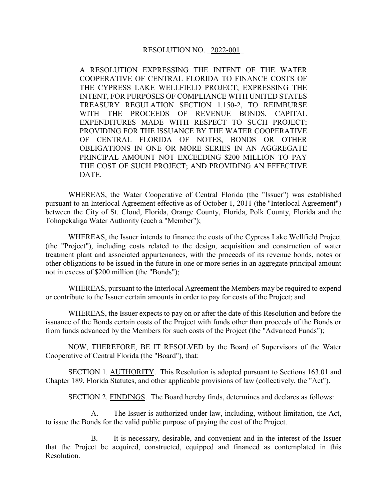A RESOLUTION EXPRESSING THE INTENT OF THE WATER COOPERATIVE OF CENTRAL FLORIDA TO FINANCE COSTS OF THE CYPRESS LAKE WELLFIELD PROJECT; EXPRESSING THE INTENT, FOR PURPOSES OF COMPLIANCE WITH UNITED STATES TREASURY REGULATION SECTION 1.150-2, TO REIMBURSE WITH THE PROCEEDS OF REVENUE BONDS, CAPITAL EXPENDITURES MADE WITH RESPECT TO SUCH PROJECT; PROVIDING FOR THE ISSUANCE BY THE WATER COOPERATIVE OF CENTRAL FLORIDA OF NOTES, BONDS OR OTHER OBLIGATIONS IN ONE OR MORE SERIES IN AN AGGREGATE PRINCIPAL AMOUNT NOT EXCEEDING \$200 MILLION TO PAY THE COST OF SUCH PROJECT; AND PROVIDING AN EFFECTIVE DATE.

WHEREAS, the Water Cooperative of Central Florida (the "Issuer") was established pursuant to an Interlocal Agreement effective as of October 1, 2011 (the "Interlocal Agreement") between the City of St. Cloud, Florida, Orange County, Florida, Polk County, Florida and the Tohopekaliga Water Authority (each a "Member");

WHEREAS, the Issuer intends to finance the costs of the Cypress Lake Wellfield Project (the "Project"), including costs related to the design, acquisition and construction of water treatment plant and associated appurtenances, with the proceeds of its revenue bonds, notes or other obligations to be issued in the future in one or more series in an aggregate principal amount not in excess of \$200 million (the "Bonds");

WHEREAS, pursuant to the Interlocal Agreement the Members may be required to expend or contribute to the Issuer certain amounts in order to pay for costs of the Project; and

WHEREAS, the Issuer expects to pay on or after the date of this Resolution and before the issuance of the Bonds certain costs of the Project with funds other than proceeds of the Bonds or from funds advanced by the Members for such costs of the Project (the "Advanced Funds");

NOW, THEREFORE, BE IT RESOLVED by the Board of Supervisors of the Water Cooperative of Central Florida (the "Board"), that:

SECTION 1. AUTHORITY. This Resolution is adopted pursuant to Sections 163.01 and Chapter 189, Florida Statutes, and other applicable provisions of law (collectively, the "Act").

SECTION 2. FINDINGS. The Board hereby finds, determines and declares as follows:

A. The Issuer is authorized under law, including, without limitation, the Act, to issue the Bonds for the valid public purpose of paying the cost of the Project.

B. It is necessary, desirable, and convenient and in the interest of the Issuer that the Project be acquired, constructed, equipped and financed as contemplated in this Resolution.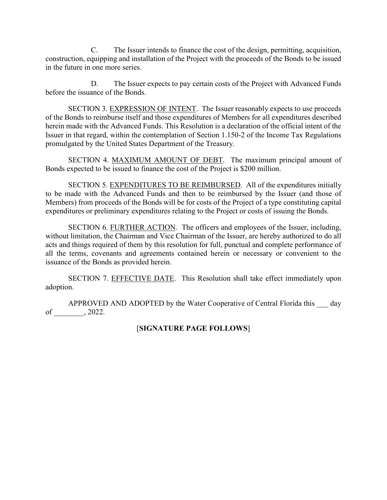C. The Issuer intends to finance the cost of the design, permitting, acquisition, construction, equipping and installation of the Project with the proceeds of the Bonds to be issued in the future in one more series.

D. The Issuer expects to pay certain costs of the Project with Advanced Funds before the issuance of the Bonds.

SECTION 3. EXPRESSION OF INTENT. The Issuer reasonably expects to use proceeds of the Bonds to reimburse itself and those expenditures of Members for all expenditures described herein made with the Advanced Funds. This Resolution is a declaration of the official intent of the Issuer in that regard, within the contemplation of Section 1.150-2 of the Income Tax Regulations promulgated by the United States Department of the Treasury.

SECTION 4. MAXIMUM AMOUNT OF DEBT. The maximum principal amount of Bonds expected to be issued to finance the cost of the Project is \$200 million.

SECTION 5. EXPENDITURES TO BE REIMBURSED. All of the expenditures initially to be made with the Advanced Funds and then to be reimbursed by the Issuer (and those of Members) from proceeds of the Bonds will be for costs of the Project of a type constituting capital expenditures or preliminary expenditures relating to the Project or costs of issuing the Bonds.

SECTION 6. FURTHER ACTION. The officers and employees of the Issuer, including, without limitation, the Chairman and Vice Chairman of the Issuer, are hereby authorized to do all acts and things required of them by this resolution for full, punctual and complete performance of all the terms, covenants and agreements contained herein or necessary or convenient to the issuance of the Bonds as provided herein.

SECTION 7. EFFECTIVE DATE. This Resolution shall take effect immediately upon adoption.

APPROVED AND ADOPTED by the Water Cooperative of Central Florida this day of \_\_\_\_\_\_\_\_, 2022.

### [**SIGNATURE PAGE FOLLOWS**]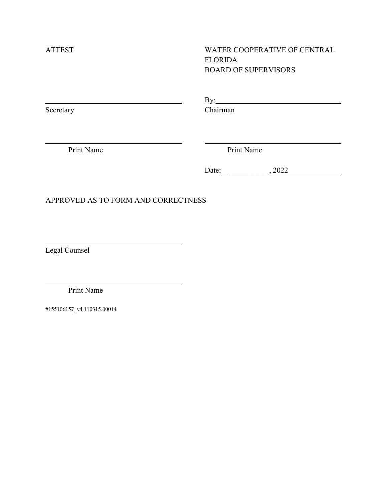$\overline{a}$ 

 $\overline{a}$ 

 $\overline{a}$ 

### ATTEST WATER COOPERATIVE OF CENTRAL FLORIDA BOARD OF SUPERVISORS

|        | $ -$<br>-            |
|--------|----------------------|
| $\sim$ | ~                    |
| ຼ      | $\sim$ $\sim$ $\sim$ |

Print Name Print Name

Date: 3.2022

### APPROVED AS TO FORM AND CORRECTNESS

Legal Counsel

Print Name

#155106157\_v4 110315.00014